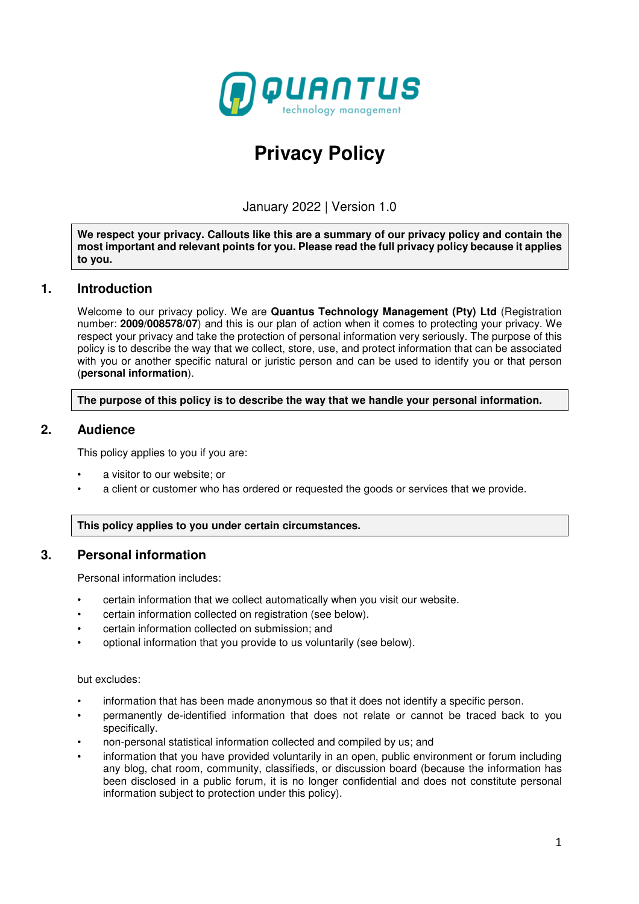

# **Privacy Policy**

January 2022 | Version 1.0

**We respect your privacy. Callouts like this are a summary of our privacy policy and contain the most important and relevant points for you. Please read the full privacy policy because it applies to you.** 

## **1. Introduction**

Welcome to our privacy policy. We are **Quantus Technology Management (Pty) Ltd** (Registration number: **2009/008578/07**) and this is our plan of action when it comes to protecting your privacy. We respect your privacy and take the protection of personal information very seriously. The purpose of this policy is to describe the way that we collect, store, use, and protect information that can be associated with you or another specific natural or juristic person and can be used to identify you or that person (**personal information**).

**The purpose of this policy is to describe the way that we handle your personal information.** 

## **2. Audience**

This policy applies to you if you are:

- a visitor to our website; or
- a client or customer who has ordered or requested the goods or services that we provide.

#### **This policy applies to you under certain circumstances.**

## **3. Personal information**

Personal information includes:

- certain information that we collect automatically when you visit our website.
- certain information collected on registration (see below).
- certain information collected on submission; and
- optional information that you provide to us voluntarily (see below).

#### but excludes:

- information that has been made anonymous so that it does not identify a specific person.
- permanently de-identified information that does not relate or cannot be traced back to you specifically.
- non-personal statistical information collected and compiled by us; and
- information that you have provided voluntarily in an open, public environment or forum including any blog, chat room, community, classifieds, or discussion board (because the information has been disclosed in a public forum, it is no longer confidential and does not constitute personal information subject to protection under this policy).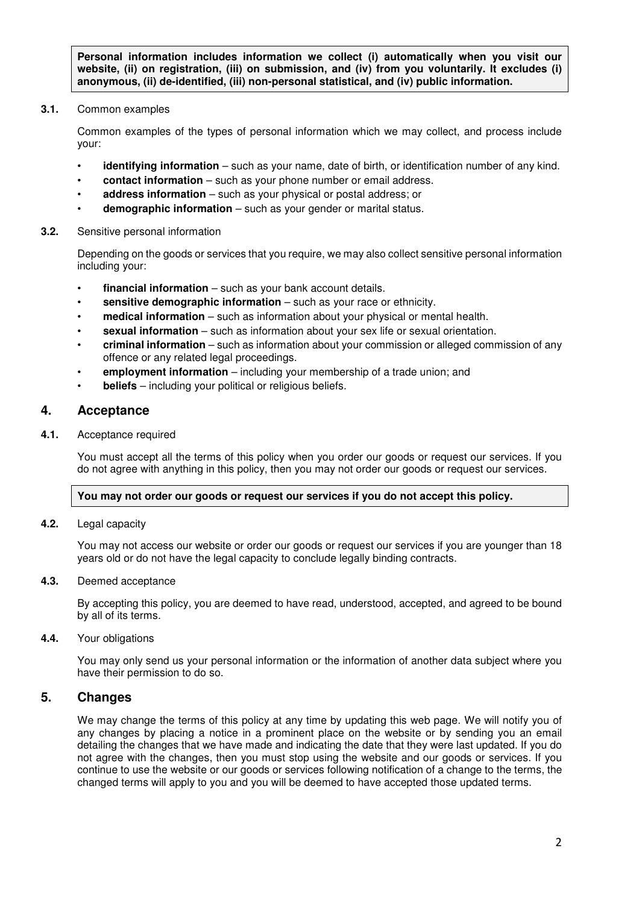**Personal information includes information we collect (i) automatically when you visit our website, (ii) on registration, (iii) on submission, and (iv) from you voluntarily. It excludes (i) anonymous, (ii) de-identified, (iii) non-personal statistical, and (iv) public information.** 

**3.1.** Common examples

Common examples of the types of personal information which we may collect, and process include your:

- **identifying information** such as your name, date of birth, or identification number of any kind.
- **contact information** such as your phone number or email address.
- **address information** such as your physical or postal address; or
- **demographic information** such as your gender or marital status.

#### **3.2.** Sensitive personal information

Depending on the goods or services that you require, we may also collect sensitive personal information including your:

- **financial information** such as your bank account details.
- **sensitive demographic information** such as your race or ethnicity.
- **medical information** such as information about your physical or mental health.
- **sexual information** such as information about your sex life or sexual orientation.
- **criminal information** such as information about your commission or alleged commission of any offence or any related legal proceedings.
- **employment information** including your membership of a trade union; and
- **beliefs** including your political or religious beliefs.

## **4. Acceptance**

**4.1.** Acceptance required

You must accept all the terms of this policy when you order our goods or request our services. If you do not agree with anything in this policy, then you may not order our goods or request our services.

#### **You may not order our goods or request our services if you do not accept this policy.**

**4.2.** Legal capacity

You may not access our website or order our goods or request our services if you are younger than 18 years old or do not have the legal capacity to conclude legally binding contracts.

#### **4.3.** Deemed acceptance

By accepting this policy, you are deemed to have read, understood, accepted, and agreed to be bound by all of its terms.

**4.4.** Your obligations

You may only send us your personal information or the information of another data subject where you have their permission to do so.

## **5. Changes**

We may change the terms of this policy at any time by updating this web page. We will notify you of any changes by placing a notice in a prominent place on the website or by sending you an email detailing the changes that we have made and indicating the date that they were last updated. If you do not agree with the changes, then you must stop using the website and our goods or services. If you continue to use the website or our goods or services following notification of a change to the terms, the changed terms will apply to you and you will be deemed to have accepted those updated terms.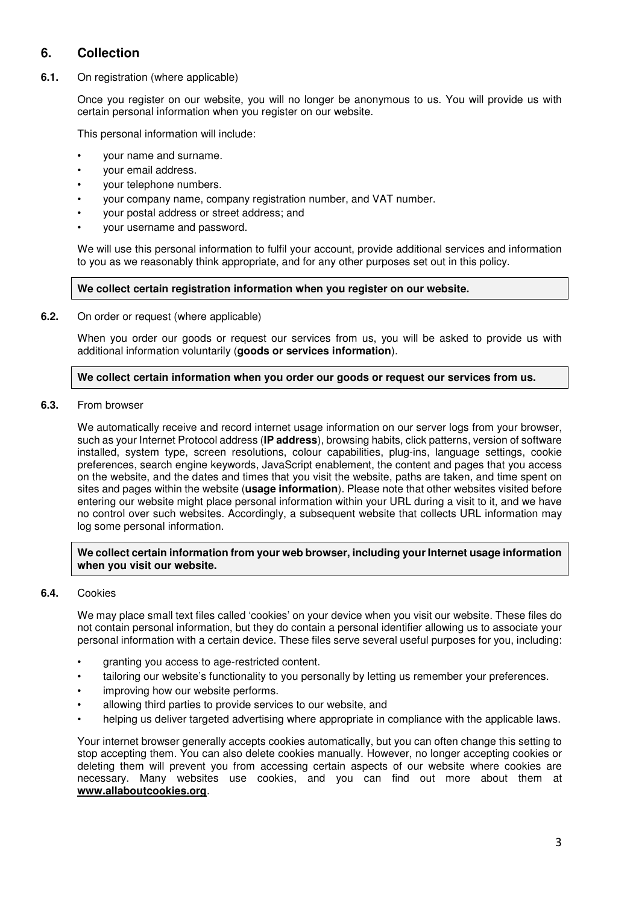## **6. Collection**

**6.1.** On registration (where applicable)

Once you register on our website, you will no longer be anonymous to us. You will provide us with certain personal information when you register on our website.

This personal information will include:

- your name and surname.
- your email address.
- your telephone numbers.
- your company name, company registration number, and VAT number.
- your postal address or street address; and
- your username and password.

We will use this personal information to fulfil your account, provide additional services and information to you as we reasonably think appropriate, and for any other purposes set out in this policy.

#### **We collect certain registration information when you register on our website.**

**6.2.** On order or request (where applicable)

When you order our goods or request our services from us, you will be asked to provide us with additional information voluntarily (**goods or services information**).

#### **We collect certain information when you order our goods or request our services from us.**

**6.3.** From browser

We automatically receive and record internet usage information on our server logs from your browser, such as your Internet Protocol address (**IP address**), browsing habits, click patterns, version of software installed, system type, screen resolutions, colour capabilities, plug-ins, language settings, cookie preferences, search engine keywords, JavaScript enablement, the content and pages that you access on the website, and the dates and times that you visit the website, paths are taken, and time spent on sites and pages within the website (**usage information**). Please note that other websites visited before entering our website might place personal information within your URL during a visit to it, and we have no control over such websites. Accordingly, a subsequent website that collects URL information may log some personal information.

#### **We collect certain information from your web browser, including your Internet usage information when you visit our website.**

#### **6.4.** Cookies

We may place small text files called 'cookies' on your device when you visit our website. These files do not contain personal information, but they do contain a personal identifier allowing us to associate your personal information with a certain device. These files serve several useful purposes for you, including:

- granting you access to age-restricted content.
- tailoring our website's functionality to you personally by letting us remember your preferences.
- improving how our website performs.
- allowing third parties to provide services to our website, and
- helping us deliver targeted advertising where appropriate in compliance with the applicable laws.

Your internet browser generally accepts cookies automatically, but you can often change this setting to stop accepting them. You can also delete cookies manually. However, no longer accepting cookies or deleting them will prevent you from accessing certain aspects of our website where cookies are necessary. Many websites use cookies, and you can find out more about them at **www.allaboutcookies.org**.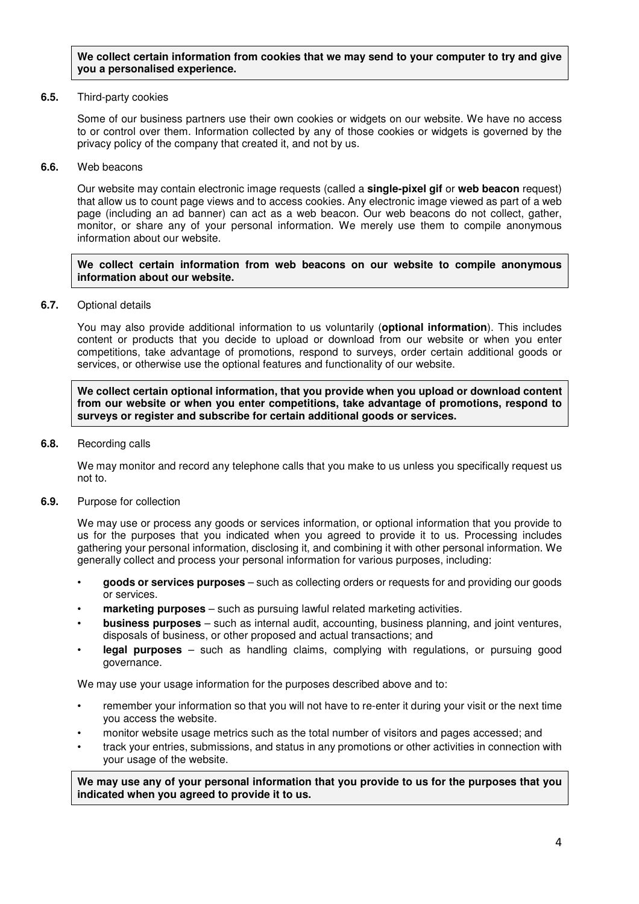#### **We collect certain information from cookies that we may send to your computer to try and give you a personalised experience.**

#### **6.5.** Third-party cookies

Some of our business partners use their own cookies or widgets on our website. We have no access to or control over them. Information collected by any of those cookies or widgets is governed by the privacy policy of the company that created it, and not by us.

#### **6.6.** Web beacons

Our website may contain electronic image requests (called a **single-pixel gif** or **web beacon** request) that allow us to count page views and to access cookies. Any electronic image viewed as part of a web page (including an ad banner) can act as a web beacon. Our web beacons do not collect, gather, monitor, or share any of your personal information. We merely use them to compile anonymous information about our website.

#### **We collect certain information from web beacons on our website to compile anonymous information about our website.**

**6.7.** Optional details

You may also provide additional information to us voluntarily (**optional information**). This includes content or products that you decide to upload or download from our website or when you enter competitions, take advantage of promotions, respond to surveys, order certain additional goods or services, or otherwise use the optional features and functionality of our website.

**We collect certain optional information, that you provide when you upload or download content from our website or when you enter competitions, take advantage of promotions, respond to surveys or register and subscribe for certain additional goods or services.** 

**6.8.** Recording calls

We may monitor and record any telephone calls that you make to us unless you specifically request us not to.

**6.9.** Purpose for collection

We may use or process any goods or services information, or optional information that you provide to us for the purposes that you indicated when you agreed to provide it to us. Processing includes gathering your personal information, disclosing it, and combining it with other personal information. We generally collect and process your personal information for various purposes, including:

- **goods or services purposes** such as collecting orders or requests for and providing our goods or services.
- **marketing purposes** such as pursuing lawful related marketing activities.
- **business purposes** such as internal audit, accounting, business planning, and joint ventures, disposals of business, or other proposed and actual transactions; and
- **legal purposes** such as handling claims, complying with regulations, or pursuing good governance.

We may use your usage information for the purposes described above and to:

- remember your information so that you will not have to re-enter it during your visit or the next time you access the website.
- monitor website usage metrics such as the total number of visitors and pages accessed; and
- track your entries, submissions, and status in any promotions or other activities in connection with your usage of the website.

**We may use any of your personal information that you provide to us for the purposes that you indicated when you agreed to provide it to us.**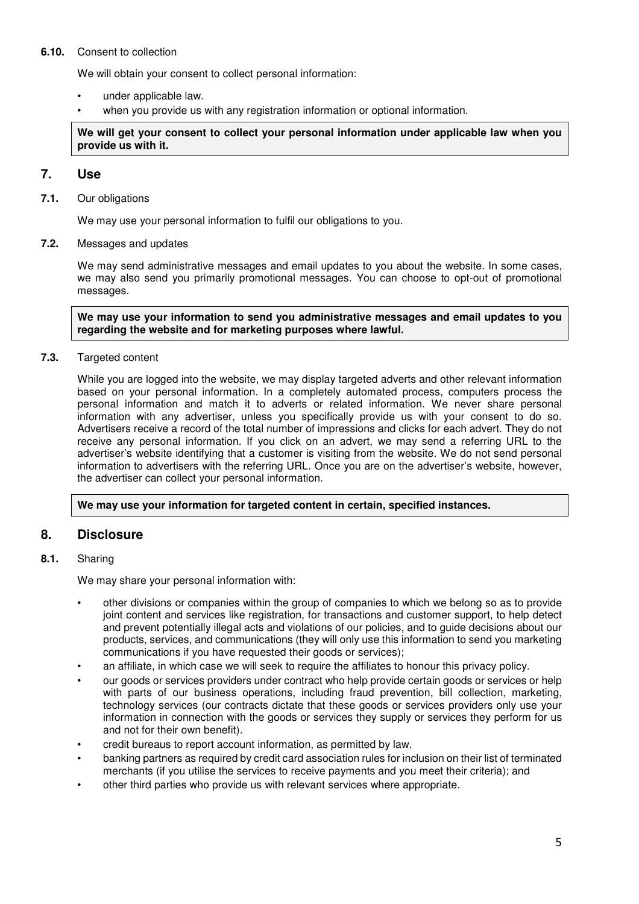#### **6.10.** Consent to collection

We will obtain your consent to collect personal information:

- under applicable law.
- when you provide us with any registration information or optional information.

**We will get your consent to collect your personal information under applicable law when you provide us with it.** 

## **7. Use**

**7.1.** Our obligations

We may use your personal information to fulfil our obligations to you.

#### **7.2.** Messages and updates

We may send administrative messages and email updates to you about the website. In some cases, we may also send you primarily promotional messages. You can choose to opt-out of promotional messages.

**We may use your information to send you administrative messages and email updates to you regarding the website and for marketing purposes where lawful.** 

#### **7.3.** Targeted content

While you are logged into the website, we may display targeted adverts and other relevant information based on your personal information. In a completely automated process, computers process the personal information and match it to adverts or related information. We never share personal information with any advertiser, unless you specifically provide us with your consent to do so. Advertisers receive a record of the total number of impressions and clicks for each advert. They do not receive any personal information. If you click on an advert, we may send a referring URL to the advertiser's website identifying that a customer is visiting from the website. We do not send personal information to advertisers with the referring URL. Once you are on the advertiser's website, however, the advertiser can collect your personal information.

#### **We may use your information for targeted content in certain, specified instances.**

## **8. Disclosure**

#### **8.1.** Sharing

We may share your personal information with:

- other divisions or companies within the group of companies to which we belong so as to provide joint content and services like registration, for transactions and customer support, to help detect and prevent potentially illegal acts and violations of our policies, and to guide decisions about our products, services, and communications (they will only use this information to send you marketing communications if you have requested their goods or services);
- an affiliate, in which case we will seek to require the affiliates to honour this privacy policy.
- our goods or services providers under contract who help provide certain goods or services or help with parts of our business operations, including fraud prevention, bill collection, marketing, technology services (our contracts dictate that these goods or services providers only use your information in connection with the goods or services they supply or services they perform for us and not for their own benefit).
- credit bureaus to report account information, as permitted by law.
- banking partners as required by credit card association rules for inclusion on their list of terminated merchants (if you utilise the services to receive payments and you meet their criteria); and
- other third parties who provide us with relevant services where appropriate.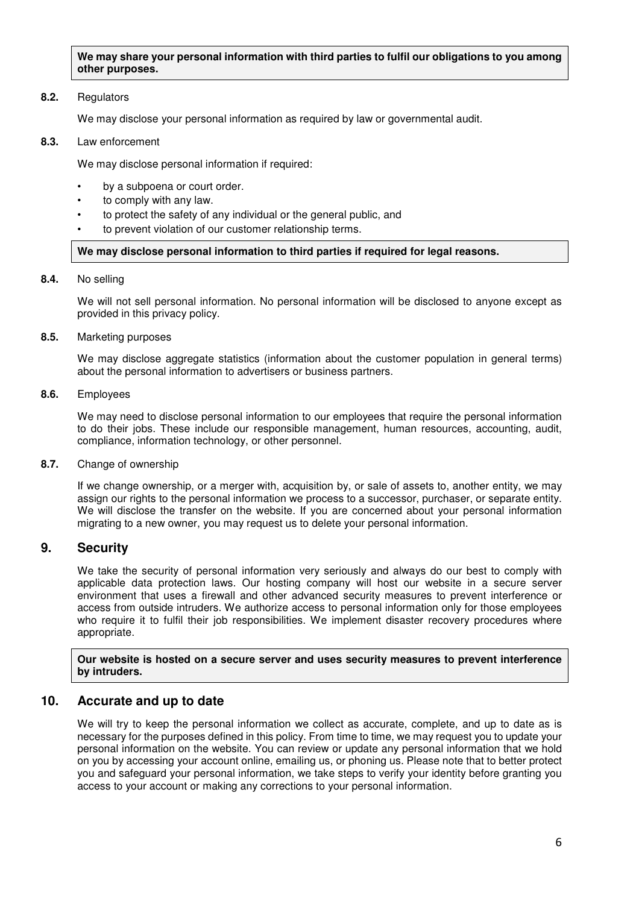**We may share your personal information with third parties to fulfil our obligations to you among other purposes.** 

#### **8.2.** Regulators

We may disclose your personal information as required by law or governmental audit.

**8.3.** Law enforcement

We may disclose personal information if required:

- by a subpoena or court order.
- to comply with any law.
- to protect the safety of any individual or the general public, and
- to prevent violation of our customer relationship terms.

#### **We may disclose personal information to third parties if required for legal reasons.**

**8.4.** No selling

We will not sell personal information. No personal information will be disclosed to anyone except as provided in this privacy policy.

**8.5.** Marketing purposes

We may disclose aggregate statistics (information about the customer population in general terms) about the personal information to advertisers or business partners.

**8.6.** Employees

We may need to disclose personal information to our employees that require the personal information to do their jobs. These include our responsible management, human resources, accounting, audit, compliance, information technology, or other personnel.

**8.7.** Change of ownership

If we change ownership, or a merger with, acquisition by, or sale of assets to, another entity, we may assign our rights to the personal information we process to a successor, purchaser, or separate entity. We will disclose the transfer on the website. If you are concerned about your personal information migrating to a new owner, you may request us to delete your personal information.

## **9. Security**

We take the security of personal information very seriously and always do our best to comply with applicable data protection laws. Our hosting company will host our website in a secure server environment that uses a firewall and other advanced security measures to prevent interference or access from outside intruders. We authorize access to personal information only for those employees who require it to fulfil their job responsibilities. We implement disaster recovery procedures where appropriate.

**Our website is hosted on a secure server and uses security measures to prevent interference by intruders.** 

## **10. Accurate and up to date**

We will try to keep the personal information we collect as accurate, complete, and up to date as is necessary for the purposes defined in this policy. From time to time, we may request you to update your personal information on the website. You can review or update any personal information that we hold on you by accessing your account online, emailing us, or phoning us. Please note that to better protect you and safeguard your personal information, we take steps to verify your identity before granting you access to your account or making any corrections to your personal information.